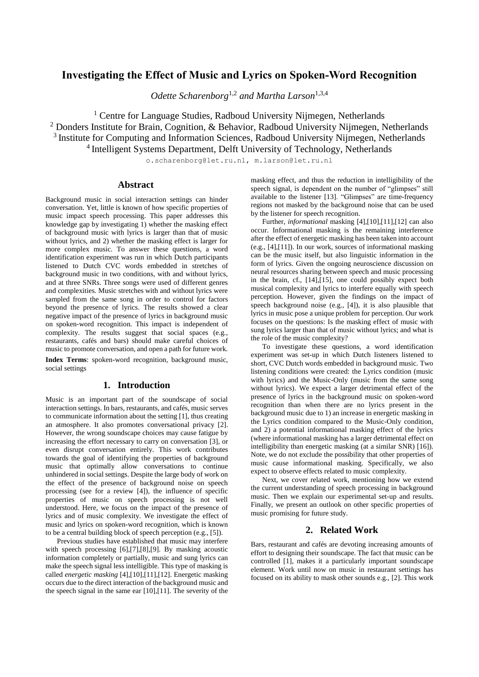# **Investigating the Effect of Music and Lyrics on Spoken-Word Recognition**

*Odette Scharenborg*1,2 *and Martha Larson*1,3,4

<sup>1</sup> Centre for Language Studies, Radboud University Nijmegen, Netherlands  $2$  Donders Institute for Brain, Cognition, & Behavior, Radboud University Nijmegen, Netherlands <sup>3</sup> Institute for Computing and Information Sciences, Radboud University Nijmegen, Netherlands <sup>4</sup> Intelligent Systems Department, Delft University of Technology, Netherlands

o.scharenborg@let.ru.nl, m.larson@let.ru.nl

# **Abstract**

Background music in social interaction settings can hinder conversation. Yet, little is known of how specific properties of music impact speech processing. This paper addresses this knowledge gap by investigating 1) whether the masking effect of background music with lyrics is larger than that of music without lyrics, and 2) whether the masking effect is larger for more complex music. To answer these questions, a word identification experiment was run in which Dutch participants listened to Dutch CVC words embedded in stretches of background music in two conditions, with and without lyrics, and at three SNRs. Three songs were used of different genres and complexities. Music stretches with and without lyrics were sampled from the same song in order to control for factors beyond the presence of lyrics. The results showed a clear negative impact of the presence of lyrics in background music on spoken-word recognition. This impact is independent of complexity. The results suggest that social spaces (e.g., restaurants, cafés and bars) should make careful choices of music to promote conversation, and open a path for future work.

**Index Terms**: spoken-word recognition, background music, social settings

# **1. Introduction**

Music is an important part of the soundscape of social interaction settings. In bars, restaurants, and cafés, music serves to communicate information about the settin[g \[1\],](#page-4-0) thus creating an atmosphere. It also promotes conversational privacy [\[2\].](#page-4-1)  However, the wrong soundscape choices may cause fatigue by increasing the effort necessary to carry on conversation [\[3\],](#page-4-2) or even disrupt conversation entirely. This work contributes towards the goal of identifying the properties of background music that optimally allow conversations to continue unhindered in social settings. Despite the large body of work on the effect of the presence of background noise on speech processing (see for a review [\[4\]\)](#page-4-3), the influence of specific properties of music on speech processing is not well understood. Here, we focus on the impact of the presence of lyrics and of music complexity. We investigate the effect of music and lyrics on spoken-word recognition, which is known to be a central building block of speech perception (e.g.[, \[5\]\)](#page-4-4).

Previous studies have established that music may interfere with speech processing [\[6\],](#page-4-5)[\[7\]](#page-4-6)[,\[8\],](#page-4-7)[\[9\].](#page-4-8) By masking acoustic information completely or partially, music and sung lyrics can make the speech signal less intelligible. This type of masking is called *energetic masking* [\[4\],](#page-4-3)[\[10\]](#page-4-9)[,\[11\]](#page-4-10)[,\[12\].](#page-4-11) Energetic masking occurs due to the direct interaction of the background music and the speech signal in the same ear [\[10\],](#page-4-9)[\[11\].](#page-4-10) The severity of the

masking effect, and thus the reduction in intelligibility of the speech signal, is dependent on the number of "glimpses" still available to the listener [\[13\].](#page-4-12) "Glimpses" are time-frequency regions not masked by the background noise that can be used by the listener for speech recognition.

Further, *informational* masking [\[4\]](#page-4-3)[,\[10\],](#page-4-9)[\[11\],](#page-4-10)[\[12\]](#page-4-11) can also occur. Informational masking is the remaining interference after the effect of energetic masking has been taken into account (e.g., [\[4\],](#page-4-3)[\[11\]\)](#page-4-10). In our work, sources of informational masking can be the music itself, but also linguistic information in the form of lyrics. Given the ongoing neuroscience discussion on neural resources sharing between speech and music processing in the brain, cf., [\[14\]](#page-4-13)[,\[15\],](#page-4-14) one could possibly expect both musical complexity and lyrics to interfere equally with speech perception. However, given the findings on the impact of speech background noise (e.g., [\[4\]\)](#page-4-3), it is also plausible that lyrics in music pose a unique problem for perception. Our work focuses on the questions: Is the masking effect of music with sung lyrics larger than that of music without lyrics; and what is the role of the music complexity?

To investigate these questions, a word identification experiment was set-up in which Dutch listeners listened to short, CVC Dutch words embedded in background music. Two listening conditions were created: the Lyrics condition (music with lyrics) and the Music-Only (music from the same song without lyrics). We expect a larger detrimental effect of the presence of lyrics in the background music on spoken-word recognition than when there are no lyrics present in the background music due to 1) an increase in energetic masking in the Lyrics condition compared to the Music-Only condition, and 2) a potential informational masking effect of the lyrics (where informational masking has a larger detrimental effect on intelligibility than energetic masking (at a similar SNR) [\[16\]\)](#page-4-15). Note, we do not exclude the possibility that other properties of music cause informational masking. Specifically, we also expect to observe effects related to music complexity.

Next, we cover related work, mentioning how we extend the current understanding of speech processing in background music. Then we explain our experimental set-up and results. Finally, we present an outlook on other specific properties of music promising for future study.

# **2. Related Work**

Bars, restaurant and cafés are devoting increasing amounts of effort to designing their soundscape. The fact that music can be controlled [\[1\],](#page-4-0) makes it a particularly important soundscape element. Work until now on music in restaurant settings has focused on its ability to mask other sounds e.g.[, \[2\].](#page-4-1) This work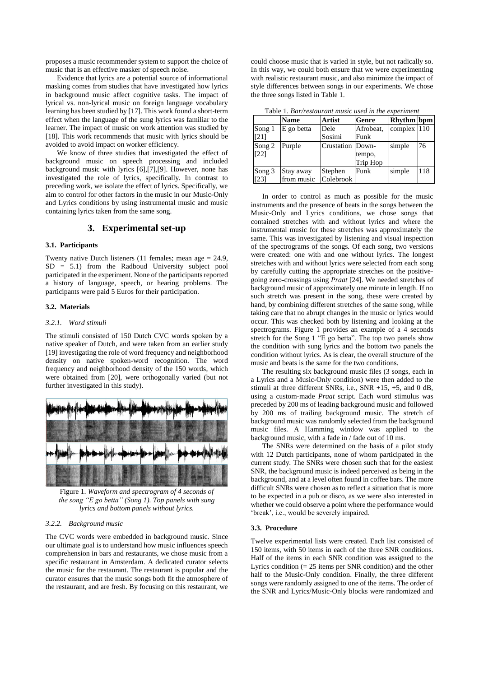proposes a music recommender system to support the choice of music that is an effective masker of speech noise.

Evidence that lyrics are a potential source of informational masking comes from studies that have investigated how lyrics in background music affect cognitive tasks. The impact of lyrical vs. non-lyrical music on foreign language vocabulary learning has been studied b[y \[17\].](#page-4-16) This work found a short-term effect when the language of the sung lyrics was familiar to the learner. The impact of music on work attention was studied by [\[18\].](#page-4-17) This work recommends that music with lyrics should be avoided to avoid impact on worker efficiency.

We know of three studies that investigated the effect of background music on speech processing and included background music with lyrics [\[6\]](#page-4-5)[,\[7\],](#page-4-6)[\[9\].](#page-4-8) However, none has investigated the role of lyrics, specifically. In contrast to preceding work, we isolate the effect of lyrics. Specifically, we aim to control for other factors in the music in our Music-Only and Lyrics conditions by using instrumental music and music containing lyrics taken from the same song.

## **3. Experimental set-up**

#### **3.1. Participants**

Twenty native Dutch listeners (11 females; mean age = 24.9, SD = 5.1) from the Radboud University subject pool participated in the experiment. None of the participants reported a history of language, speech, or hearing problems. The participants were paid 5 Euros for their participation.

#### **3.2. Materials**

## *3.2.1. Word stimuli*

The stimuli consisted of 150 Dutch CVC words spoken by a native speaker of Dutch, and were taken from an earlier study [\[19\]](#page-4-18) investigating the role of word frequency and neighborhood density on native spoken-word recognition. The word frequency and neighborhood density of the 150 words, which were obtained from [\[20\],](#page-4-19) were orthogonally varied (but not further investigated in this study).



<span id="page-1-1"></span>Figure 1. *Waveform and spectrogram of 4 seconds of the song "E go betta" (Song 1). Top panels with sung lyrics and bottom panels without lyrics.*

## *3.2.2. Background music*

The CVC words were embedded in background music. Since our ultimate goal is to understand how music influences speech comprehension in bars and restaurants, we chose music from a specific restaurant in Amsterdam. A dedicated curator selects the music for the restaurant. The restaurant is popular and the curator ensures that the music songs both fit the atmosphere of the restaurant, and are fresh. By focusing on this restaurant, we

could choose music that is varied in style, but not radically so. In this way, we could both ensure that we were experimenting with realistic restaurant music, and also minimize the impact of style differences between songs in our experiments. We chose the three songs listed i[n Table 1.](#page-1-0)

| Table 1. Bar/restaurant music used in the experiment |  |  |
|------------------------------------------------------|--|--|
|                                                      |  |  |

<span id="page-1-0"></span>

|                    | <b>Name</b> | Artist           | Genre     | <b>Rhythm</b> bpm |     |
|--------------------|-------------|------------------|-----------|-------------------|-----|
| Song 1             | E go betta  | Dele             | Afrobeat, | complex 110       |     |
| [21]               |             | Sosimi           | Funk      |                   |     |
| Song 2             | Purple      | Crustation Down- |           | simple            | 76  |
| $\lceil 22 \rceil$ |             |                  | tempo,    |                   |     |
|                    |             |                  | Trip Hop  |                   |     |
| Song 3             | Stay away   | Stephen          | Funk      | simple            | 118 |
| [23]               | from music  | Colebrook        |           |                   |     |

In order to control as much as possible for the music instruments and the presence of beats in the songs between the Music-Only and Lyrics conditions, we chose songs that contained stretches with and without lyrics and where the instrumental music for these stretches was approximately the same. This was investigated by listening and visual inspection of the spectrograms of the songs. Of each song, two versions were created: one with and one without lyrics. The longest stretches with and without lyrics were selected from each song by carefully cutting the appropriate stretches on the positivegoing zero-crossings using *Praat* [\[24\].](#page-4-23) We needed stretches of background music of approximately one minute in length. If no such stretch was present in the song, these were created by hand, by combining different stretches of the same song, while taking care that no abrupt changes in the music or lyrics would occur. This was checked both by listening and looking at the spectrograms. [Figure 1](#page-1-1) provides an example of a 4 seconds stretch for the Song 1 "E go betta". The top two panels show the condition with sung lyrics and the bottom two panels the condition without lyrics. As is clear, the overall structure of the music and beats is the same for the two conditions.

The resulting six background music files (3 songs, each in a Lyrics and a Music-Only condition) were then added to the stimuli at three different SNRs, i.e., SNR +15, +5, and 0 dB, using a custom-made *Praat* script. Each word stimulus was preceded by 200 ms of leading background music and followed by 200 ms of trailing background music. The stretch of background music was randomly selected from the background music files. A Hamming window was applied to the background music, with a fade in / fade out of 10 ms.

The SNRs were determined on the basis of a pilot study with 12 Dutch participants, none of whom participated in the current study. The SNRs were chosen such that for the easiest SNR, the background music is indeed perceived as being in the background, and at a level often found in coffee bars. The more difficult SNRs were chosen as to reflect a situation that is more to be expected in a pub or disco, as we were also interested in whether we could observe a point where the performance would 'break', i.e., would be severely impaired.

#### **3.3. Procedure**

Twelve experimental lists were created. Each list consisted of 150 items, with 50 items in each of the three SNR conditions. Half of the items in each SNR condition was assigned to the Lyrics condition  $(= 25$  items per SNR condition) and the other half to the Music-Only condition. Finally, the three different songs were randomly assigned to one of the items. The order of the SNR and Lyrics/Music-Only blocks were randomized and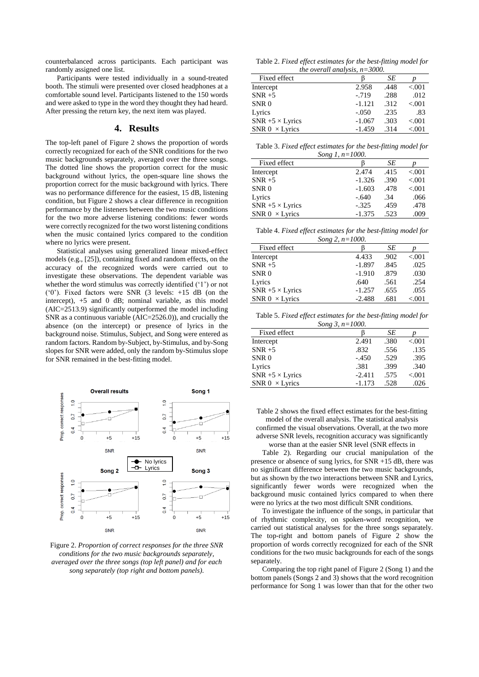counterbalanced across participants. Each participant was randomly assigned one list.

Participants were tested individually in a sound-treated booth. The stimuli were presented over closed headphones at a comfortable sound level. Participants listened to the 150 words and were asked to type in the word they thought they had heard. After pressing the return key, the next item was played.

#### **4. Results**

The top-left panel of [Figure 2](#page-2-0) shows the proportion of words correctly recognized for each of the SNR conditions for the two music backgrounds separately, averaged over the three songs. The dotted line shows the proportion correct for the music background without lyrics, the open-square line shows the proportion correct for the music background with lyrics. There was no performance difference for the easiest, 15 dB, listening condition, bu[t Figure 2](#page-2-0) shows a clear difference in recognition performance by the listeners between the two music conditions for the two more adverse listening conditions: fewer words were correctly recognized for the two worst listening conditions when the music contained lyrics compared to the condition where no lyrics were present.

Statistical analyses using generalized linear mixed-effect models (e.g., [\[25\]\)](#page-4-24), containing fixed and random effects, on the accuracy of the recognized words were carried out to investigate these observations. The dependent variable was whether the word stimulus was correctly identified ('1') or not ('0'). Fixed factors were SNR (3 levels: +15 dB (on the intercept), +5 and 0 dB; nominal variable, as this model (AIC=2513.9) significantly outperformed the model including SNR as a continuous variable (AIC=2526.0)), and crucially the absence (on the intercept) or presence of lyrics in the background noise. Stimulus, Subject, and Song were entered as random factors. Random by-Subject, by-Stimulus, and by-Song slopes for SNR were added, only the random by-Stimulus slope for SNR remained in the best-fitting model.



<span id="page-2-1"></span><span id="page-2-0"></span>Figure 2. *Proportion of correct responses for the three SNR conditions for the two music backgrounds separately, averaged over the three songs (top left panel) and for each song separately (top right and bottom panels).*

Table 2. *Fixed effect estimates for the best-fitting model for the overall analysis, n=3000.*

| < 0.001  |
|----------|
| .012     |
| < 0.001  |
| .83      |
| < 0.001  |
| ${<}001$ |
|          |

Table 3. *Fixed effect estimates for the best-fitting model for Song 1, n=1000.*

| $00116$ 1, $10 - 1000$  |          |      |         |  |
|-------------------------|----------|------|---------|--|
| Fixed effect            |          | SЕ   |         |  |
| Intercept               | 2.474    | .415 | < 0.001 |  |
| $SNR + 5$               | $-1.326$ | .390 | < 0.001 |  |
| SNR <sub>0</sub>        | $-1.603$ | .478 | < 0.001 |  |
| Lyrics                  | $-.640$  | .34  | .066    |  |
| $SNR + 5 \times Lyrics$ | $-.325$  | .459 | .478    |  |
| SNR $0 \times$ Lyrics   | $-1.375$ | .523 | .009    |  |

Table 4. *Fixed effect estimates for the best-fitting model for*

| Song 2, $n=1000$ .      |          |      |          |  |
|-------------------------|----------|------|----------|--|
| Fixed effect            |          | SЕ   |          |  |
| Intercept               | 4.433    | .902 | ${<}001$ |  |
| $SNR + 5$               | $-1.897$ | .845 | .025     |  |
| SNR <sub>0</sub>        | $-1.910$ | .879 | .030     |  |
| Lyrics                  | .640     | .561 | .254     |  |
| $SNR + 5 \times Lyrics$ | $-1.257$ | .655 | .055     |  |
| SNR $0 \times$ Lyrics   | $-2.488$ | .681 | ${<}001$ |  |

Table 5. *Fixed effect estimates for the best-fitting model for Song 3, n=1000.*

| Fixed effect            |          | SЕ   |          |  |
|-------------------------|----------|------|----------|--|
| Intercept               | 2.491    | .380 | ${<}001$ |  |
| $SNR + 5$               | .832     | .556 | .135     |  |
| SNR <sub>0</sub>        | $-.450$  | .529 | .395     |  |
| Lyrics                  | .381     | .399 | .340     |  |
| $SNR + 5 \times Lyrics$ | $-2.411$ | .575 | ${<}001$ |  |
| SNR $0 \times$ Lyrics   | $-1.173$ | .528 | .026     |  |

[Table 2](#page-2-1) shows the fixed effect estimates for the best-fitting model of the overall analysis. The statistical analysis confirmed the visual observations. Overall, at the two more adverse SNR levels, recognition accuracy was significantly worse than at the easier SNR level (SNR effects i[n](#page-2-1) 

[Table 2\)](#page-2-1). Regarding our crucial manipulation of the presence or absence of sung lyrics, for SNR +15 dB, there was no significant difference between the two music backgrounds, but as shown by the two interactions between SNR and Lyrics, significantly fewer words were recognized when the background music contained lyrics compared to when there were no lyrics at the two most difficult SNR conditions.

To investigate the influence of the songs, in particular that of rhythmic complexity, on spoken-word recognition, we carried out statistical analyses for the three songs separately. The top-right and bottom panels of [Figure 2](#page-2-0) show the proportion of words correctly recognized for each of the SNR conditions for the two music backgrounds for each of the songs separately.

Comparing the top right panel o[f Figure 2](#page-2-0) (Song 1) and the bottom panels (Songs 2 and 3) shows that the word recognition performance for Song 1 was lower than that for the other two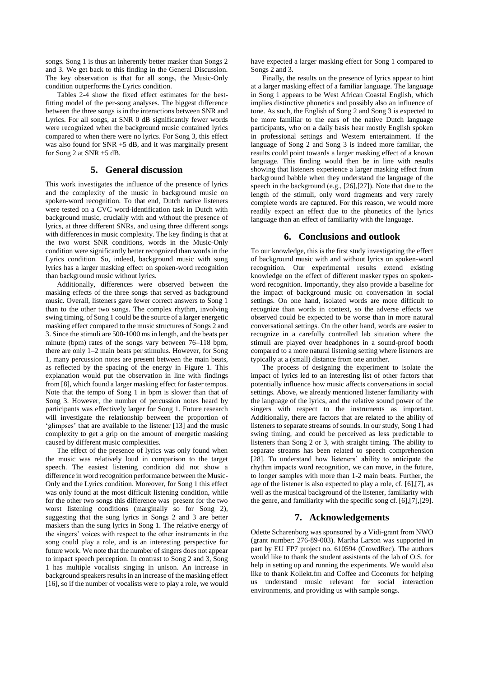songs. Song 1 is thus an inherently better masker than Songs 2 and 3. We get back to this finding in the General Discussion. The key observation is that for all songs, the Music-Only condition outperforms the Lyrics condition.

Tables 2-4 show the fixed effect estimates for the bestfitting model of the per-song analyses. The biggest difference between the three songs is in the interactions between SNR and Lyrics. For all songs, at SNR 0 dB significantly fewer words were recognized when the background music contained lyrics compared to when there were no lyrics. For Song 3, this effect was also found for SNR +5 dB, and it was marginally present for Song 2 at SNR +5 dB.

## **5. General discussion**

This work investigates the influence of the presence of lyrics and the complexity of the music in background music on spoken-word recognition. To that end, Dutch native listeners were tested on a CVC word-identification task in Dutch with background music, crucially with and without the presence of lyrics, at three different SNRs, and using three different songs with differences in music complexity. The key finding is that at the two worst SNR conditions, words in the Music-Only condition were significantly better recognized than words in the Lyrics condition. So, indeed, background music with sung lyrics has a larger masking effect on spoken-word recognition than background music without lyrics.

Additionally, differences were observed between the masking effects of the three songs that served as background music. Overall, listeners gave fewer correct answers to Song 1 than to the other two songs. The complex rhythm, involving swing timing, of Song 1 could be the source of a larger energetic masking effect compared to the music structures of Songs 2 and 3. Since the stimuli are 500-1000 ms in length, and the beats per minute (bpm) rates of the songs vary between 76–118 bpm, there are only 1–2 main beats per stimulus. However, for Song 1, many percussion notes are present between the main beats, as reflected by the spacing of the energy in [Figure 1.](#page-1-1) This explanation would put the observation in line with findings fro[m \[8\],](#page-4-7) which found a larger masking effect for faster tempos. Note that the tempo of Song 1 in bpm is slower than that of Song 3. However, the number of percussion notes heard by participants was effectively larger for Song 1. Future research will investigate the relationship between the proportion of 'glimpses' that are available to the listener [\[13\]](#page-4-12) and the music complexity to get a grip on the amount of energetic masking caused by different music complexities.

The effect of the presence of lyrics was only found when the music was relatively loud in comparison to the target speech. The easiest listening condition did not show a difference in word recognition performance between the Music-Only and the Lyrics condition. Moreover, for Song 1 this effect was only found at the most difficult listening condition, while for the other two songs this difference was present for the two worst listening conditions (marginally so for Song 2), suggesting that the sung lyrics in Songs 2 and 3 are better maskers than the sung lyrics in Song 1. The relative energy of the singers' voices with respect to the other instruments in the song could play a role, and is an interesting perspective for future work. We note that the number of singers does not appear to impact speech perception. In contrast to Song 2 and 3, Song 1 has multiple vocalists singing in unison. An increase in background speakers results in an increase of the masking effect [\[16\],](#page-4-15) so if the number of vocalists were to play a role, we would have expected a larger masking effect for Song 1 compared to Songs 2 and 3.

Finally, the results on the presence of lyrics appear to hint at a larger masking effect of a familiar language. The language in Song 1 appears to be West African Coastal English, which implies distinctive phonetics and possibly also an influence of tone. As such, the English of Song 2 and Song 3 is expected to be more familiar to the ears of the native Dutch language participants, who on a daily basis hear mostly English spoken in professional settings and Western entertainment. If the language of Song 2 and Song 3 is indeed more familiar, the results could point towards a larger masking effect of a known language. This finding would then be in line with results showing that listeners experience a larger masking effect from background babble when they understand the language of the speech in the background (e.g., [\[26\]](#page-4-25)[,\[27\]\)](#page-4-26). Note that due to the length of the stimuli, only word fragments and very rarely complete words are captured. For this reason, we would more readily expect an effect due to the phonetics of the lyrics language than an effect of familiarity with the language.

#### **6. Conclusions and outlook**

To our knowledge, this is the first study investigating the effect of background music with and without lyrics on spoken-word recognition. Our experimental results extend existing knowledge on the effect of different masker types on spokenword recognition. Importantly, they also provide a baseline for the impact of background music on conversation in social settings. On one hand, isolated words are more difficult to recognize than words in context, so the adverse effects we observed could be expected to be worse than in more natural conversational settings. On the other hand, words are easier to recognize in a carefully controlled lab situation where the stimuli are played over headphones in a sound-proof booth compared to a more natural listening setting where listeners are typically at a (small) distance from one another.

The process of designing the experiment to isolate the impact of lyrics led to an interesting list of other factors that potentially influence how music affects conversations in social settings. Above, we already mentioned listener familiarity with the language of the lyrics, and the relative sound power of the singers with respect to the instruments as important. Additionally, there are factors that are related to the ability of listeners to separate streams of sounds. In our study, Song 1 had swing timing, and could be perceived as less predictable to listeners than Song 2 or 3, with straight timing. The ability to separate streams has been related to speech comprehension [\[28\].](#page-4-27) To understand how listeners' ability to anticipate the rhythm impacts word recognition, we can move, in the future, to longer samples with more than 1-2 main beats. Further, the age of the listener is also expected to play a role, cf. [\[6\]](#page-4-5)[,\[7\],](#page-4-6) as well as the musical background of the listener, familiarity with the genre, and familiarity with the specific song cf. [\[6\],](#page-4-5)[\[7\]](#page-4-6)[,\[29\].](#page-4-28)

# **7. Acknowledgements**

Odette Scharenborg was sponsored by a Vidi-grant from NWO (grant number: 276-89-003). Martha Larson was supported in part by EU FP7 project no. 610594 (CrowdRec). The authors would like to thank the student assistants of the lab of O.S. for help in setting up and running the experiments. We would also like to thank Kollekt.fm and Coffee and Coconuts for helping understand music relevant for social interaction environments, and providing us with sample songs.